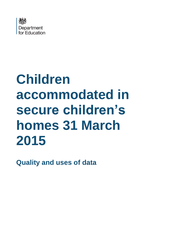

# **Children accommodated in secure children's homes 31 March 2015**

**Quality and uses of data**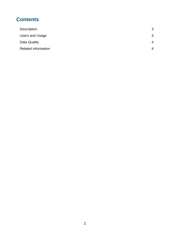# **Contents**

| Description                | 3                        |
|----------------------------|--------------------------|
| Users and Usage            | 3                        |
| Data Quality               | $\boldsymbol{\varDelta}$ |
| <b>Related information</b> | 4                        |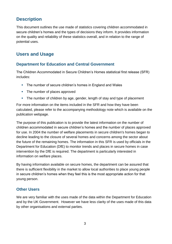## <span id="page-2-0"></span>**Description**

This document outlines the use made of statistics covering children accommodated in secure children's homes and the types of decisions they inform. It provides information on the quality and reliability of these statistics overall, and in relation to the range of potential uses.

## <span id="page-2-1"></span>**Users and Usage**

### **Department for Education and Central Government**

The Children Accommodated in Secure Children's Homes statistical first release (SFR) includes:

- **The number of secure children's homes in England and Wales**
- The number of places approved
- The number of children by age, gender, length of stay and type of placement

For more information on the items included in the SFR and how they have been calculated, please refer to the accompanying methodology note which is available on the publication webpage.

The purpose of this publication is to provide the latest information on the number of children accommodated in secure children's homes and the number of places approved for use. In 2004 the number of welfare placements in secure children's homes began to decline leading to the closure of several homes and concerns among the sector about the future of the remaining homes. The information in this SFR is used by officials in the Department for Education (DfE) to monitor trends and places in secure homes in case intervention by the DfE is required. The department is particularly interested in information on welfare places.

By having information available on secure homes, the department can be assured that there is sufficient flexibility in the market to allow local authorities to place young people in secure children's homes when they feel this is the most appropriate action for that young person.

## **Other Users**

We are very familiar with the uses made of the data within the Department for Education and by the UK Government. However we have less clarity of the uses made of this data by other organisations and external parties.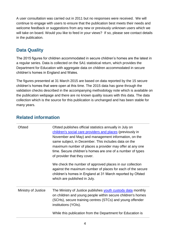A user consultation was carried out in 2011 but no responses were received. We will continue to engage with users to ensure that the publication best meets their needs and welcome feedback or suggestions from any new or previously unknown users which we will take on board. Would you like to feed in your views? If so, please see contact details in the publication.

## <span id="page-3-0"></span>**Data Quality**

The 2015 figures for children accommodated in secure children's homes are the latest in a regular series. Data is collected on the SA1 statistical return, which provides the Department for Education with aggregate data on children accommodated in secure children's homes in England and Wales.

The figures presented at 31 March 2015 are based on data reported by the 15 secure children's homes that were open at this time. The 2015 data has gone through the validation checks described in the accompanying methodology note which is available on the publication webpage and there are no known quality issues with this data. The data collection which is the source for this publication is unchanged and has been stable for many years.

<span id="page-3-1"></span>

| <b>Related information</b> |  |
|----------------------------|--|
|----------------------------|--|

| Ofsted              | Ofsted publishes official statistics annually in July on<br>children's social care providers and places (previously in<br>November and May) and management information, on the<br>same subject, in December. This includes data on the<br>maximum number of places a provider may offer at any one<br>time. Secure children's homes are one of a number of types<br>of provider that they cover. |
|---------------------|--------------------------------------------------------------------------------------------------------------------------------------------------------------------------------------------------------------------------------------------------------------------------------------------------------------------------------------------------------------------------------------------------|
|                     | We check the number of approved places in our collection<br>against the maximum number of places for each of the secure<br>children's homes in England at 31 March reported by Ofsted<br>which are published in July.                                                                                                                                                                            |
| Ministry of Justice | The Ministry of Justice publishes youth custody data monthly<br>on children and young people within secure children's homes<br>(SCHs), secure training centres (STCs) and young offender<br>institutions (YOIs).                                                                                                                                                                                 |
|                     | While this publication from the Department for Education is                                                                                                                                                                                                                                                                                                                                      |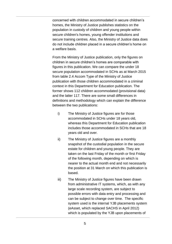concerned with children accommodated in secure children's homes, the Ministry of Justice publishes statistics on the population in custody of children and young people within secure children's homes, young offender institutions and secure training centres. Also, the Ministry of Justice data does do not include children placed in a secure children's home on a welfare basis.

From the Ministry of Justice publication, only the figures on children in secure children's homes are comparable with figures in this publication. We can compare the under 18 secure population accommodated in SCHs as at March 2015 from table 2.4 Accom Type of the Ministry of Justice publication with those children accommodated in a criminal context in this Department for Education publication. The former shows 112 children accommodated (provisional data) and the latter 117. There are some small differences in definitions and methodology which can explain the difference between the two publications:

- i) The Ministry of Justice figures are for those accommodated in SCHs under 18 years old, whereas this Department for Education publication includes those accommodated in SCHs that are 18 years old and over.
- ii) The Ministry of Justice figures are a monthly snapshot of the custodial population in the secure estate for children and young people. They are taken on the last Friday of the month or first Friday of the following month, depending on which is nearer to the actual month end and not necessarily the position at 31 March on which this publication is based.
- iii) The Ministry of Justice figures have been drawn from administrative IT systems, which, as with any large scale recording system, are subject to possible errors with data entry and processing and can be subject to change over time. The specific system used is the internal YJB placements system (eAsset, which replaced SACHS in April 2012) which is populated by the YJB upon placements of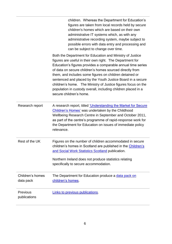|                               | children. Whereas the Department for Education's<br>figures are taken from local records held by secure<br>children's homes which are based on their own<br>administrative IT systems which, as with any<br>administrative recording system, maybe subject to<br>possible errors with data entry and processing and<br>can be subject to change over time.                                                                                                                                                                                |
|-------------------------------|-------------------------------------------------------------------------------------------------------------------------------------------------------------------------------------------------------------------------------------------------------------------------------------------------------------------------------------------------------------------------------------------------------------------------------------------------------------------------------------------------------------------------------------------|
|                               | Both the Department for Education and Ministry of Justice<br>figures are useful in their own right. The Department for<br>Education's figures provides a comparable annual time series<br>of data on secure children's homes sourced directly from<br>them, and includes some figures on children detained or<br>sentenced and placed by the Youth Justice Board in a secure<br>children's home. The Ministry of Justice figures focus on the<br>population in custody overall, including children placed in a<br>secure children's home. |
| Research report               | A research report, titled 'Understanding the Market for Secure<br>Children's Homes' was undertaken by the Childhood<br>Wellbeing Research Centre in September and October 2011,<br>as part of the centre's programme of rapid-response work for<br>the Department for Education on issues of immediate policy<br>relevance.                                                                                                                                                                                                               |
| Rest of the UK                | Figures on the number of children accommodated in secure<br>children's homes in Scotland are published in the Children's<br>and Social Work Statistics Scotland publication.<br>Northern Ireland does not produce statistics relating<br>specifically to secure accommodation.                                                                                                                                                                                                                                                            |
| Children's homes<br>data pack | The Department for Education produce a data pack on<br>children's homes.                                                                                                                                                                                                                                                                                                                                                                                                                                                                  |
| Previous<br>publications      | Links to previous publications.                                                                                                                                                                                                                                                                                                                                                                                                                                                                                                           |